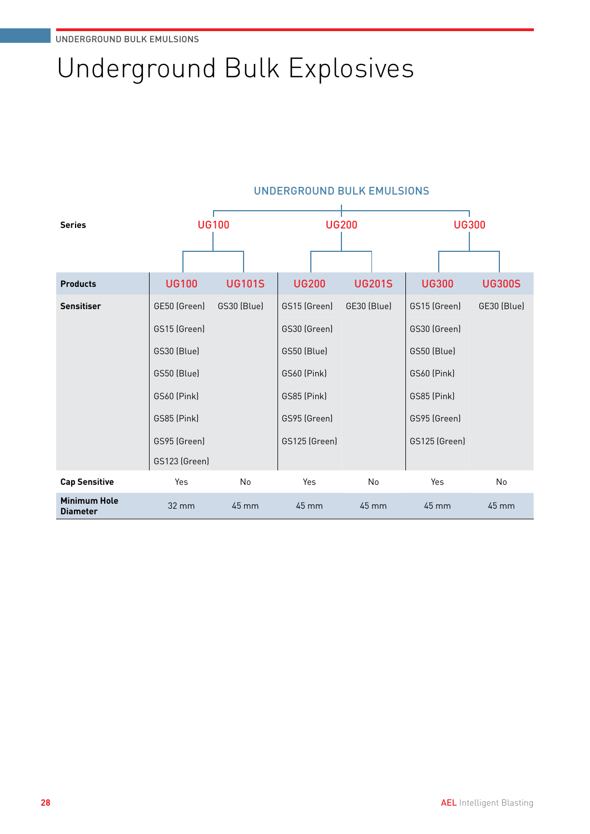# Underground Bulk Explosives

| <b>Series</b>                          | <b>UG100</b>       |                 | <b>UG200</b>       |               | <b>UG300</b>       |               |
|----------------------------------------|--------------------|-----------------|--------------------|---------------|--------------------|---------------|
|                                        |                    |                 |                    |               |                    |               |
| <b>Products</b>                        | <b>UG100</b>       | <b>UG101S</b>   | <b>UG200</b>       | <b>UG201S</b> | <b>UG300</b>       | <b>UG300S</b> |
| <b>Sensitiser</b>                      | GE50 (Green)       | GS30 (Blue)     | GS15 (Green)       | GE30 (Blue)   | GS15 (Green)       | GE30 (Blue)   |
|                                        | GS15 (Green)       |                 | GS30 (Green)       |               | GS30 (Green)       |               |
|                                        | GS30 (Blue)        |                 | GS50 (Blue)        |               | GS50 (Blue)        |               |
|                                        | GS50 (Blue)        |                 | <b>GS60 (Pink)</b> |               | <b>GS60 (Pink)</b> |               |
|                                        | <b>GS60 (Pink)</b> |                 | GS85 (Pink)        |               | GS85 (Pink)        |               |
|                                        | GS85 (Pink)        |                 | GS95 (Green)       |               | GS95 (Green)       |               |
|                                        | GS95 (Green)       |                 | GS125 (Green)      |               | GS125 (Green)      |               |
|                                        | GS123 (Green)      |                 |                    |               |                    |               |
| <b>Cap Sensitive</b>                   | Yes                | No              | Yes                | No            | Yes                | No            |
| <b>Minimum Hole</b><br><b>Diameter</b> | 32 mm              | $45 \text{ mm}$ | 45 mm              | 45 mm         | 45 mm              | 45 mm         |

#### UNDERGROUND BULK EMULSIONS ł.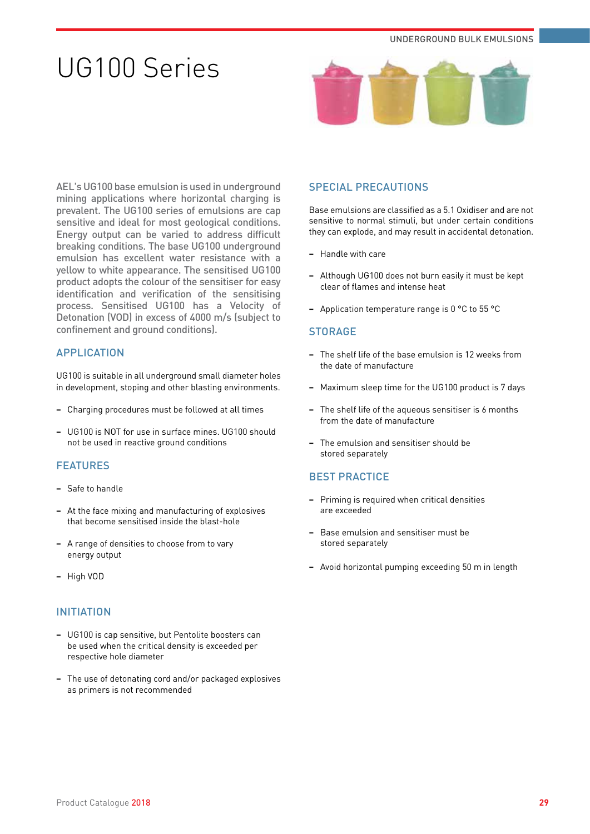# UG100 Series



AEL's UG100 base emulsion is used in underground mining applications where horizontal charging is prevalent. The UG100 series of emulsions are cap sensitive and ideal for most geological conditions. Energy output can be varied to address difficult breaking conditions. The base UG100 underground emulsion has excellent water resistance with a yellow to white appearance. The sensitised UG100 product adopts the colour of the sensitiser for easy identification and verification of the sensitising process. Sensitised UG100 has a Velocity of Detonation (VOD) in excess of 4000 m/s (subject to confinement and ground conditions).

# APPLICATION

UG100 is suitable in all underground small diameter holes in development, stoping and other blasting environments.

- **−** Charging procedures must be followed at all times
- **−** UG100 is NOT for use in surface mines. UG100 should not be used in reactive ground conditions

# **FFATURES**

- **−** Safe to handle
- **−** At the face mixing and manufacturing of explosives that become sensitised inside the blast-hole
- **−** A range of densities to choose from to vary energy output
- **−** High VOD

# INITIATION

- **−** UG100 is cap sensitive, but Pentolite boosters can be used when the critical density is exceeded per respective hole diameter
- **−** The use of detonating cord and/or packaged explosives as primers is not recommended

# SPECIAL PRECAUTIONS

Base emulsions are classified as a 5.1 Oxidiser and are not sensitive to normal stimuli, but under certain conditions they can explode, and may result in accidental detonation.

- **−** Handle with care
- **−** Although UG100 does not burn easily it must be kept clear of flames and intense heat
- **−** Application temperature range is 0 °C to 55 °C

#### **STORAGE**

- **−** The shelf life of the base emulsion is 12 weeks from the date of manufacture
- **−** Maximum sleep time for the UG100 product is 7 days
- The shelf life of the aqueous sensitiser is 6 months from the date of manufacture
- **−** The emulsion and sensitiser should be stored separately

- **−** Priming is required when critical densities are exceeded
- **−** Base emulsion and sensitiser must be stored separately
- **−** Avoid horizontal pumping exceeding 50 m in length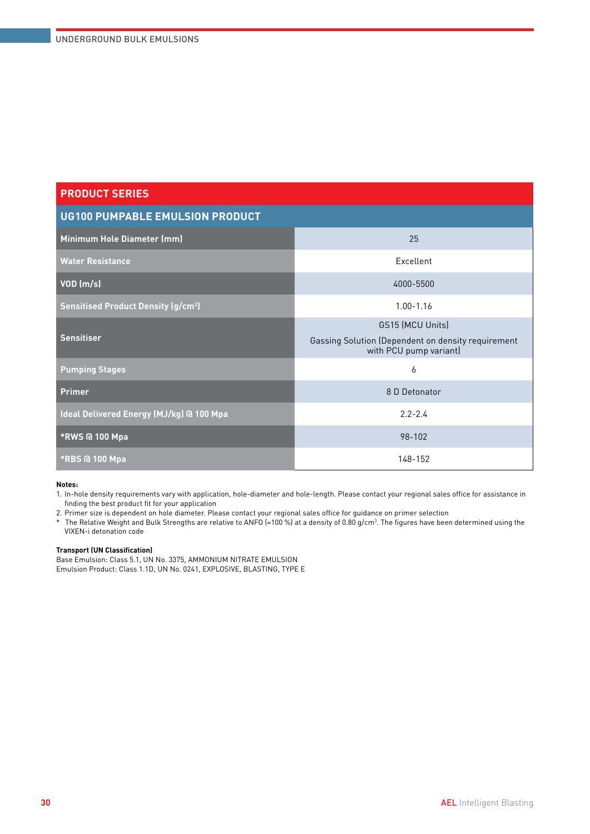| <b>UG100 PUMPABLE EMULSION PRODUCT</b>               |                                                                              |  |  |  |
|------------------------------------------------------|------------------------------------------------------------------------------|--|--|--|
| Minimum Hole Diameter (mm)                           | 25                                                                           |  |  |  |
| <b>Water Resistance</b>                              | Excellent                                                                    |  |  |  |
| $VOD$ (m/s)                                          | 4000-5500                                                                    |  |  |  |
| <b>Sensitised Product Density (g/cm<sup>3</sup>)</b> | $1.00 - 1.16$                                                                |  |  |  |
|                                                      | GS15 (MCU Units)                                                             |  |  |  |
| <b>Sensitiser</b>                                    | Gassing Solution (Dependent on density requirement<br>with PCU pump variant) |  |  |  |
| <b>Pumping Stages</b>                                | 6                                                                            |  |  |  |
| <b>Primer</b>                                        | 8 D Detonator                                                                |  |  |  |
| Ideal Delivered Energy (MJ/kg) @ 100 Mpa             | $2.2 - 2.4$                                                                  |  |  |  |
| *RWS @ 100 Mpa                                       | 98-102                                                                       |  |  |  |
| <b>*RBS @ 100 Mpa</b>                                | 148-152                                                                      |  |  |  |

#### **Notes:**

1. In-hole density requirements vary with application, hole-diameter and hole-length. Please contact your regional sales office for assistance in finding the best product fit for your application

2. Primer size is dependent on hole diameter. Please contact your regional sales office for guidance on primer selection

 $^*$  The Relative Weight and Bulk Strengths are relative to ANFO (=100 %) at a density of 0.80 g/cm $^3$ . The figures have been determined using the VIXEN-i detonation code

#### **Transport (UN Classification)**

Base Emulsion: Class 5.1, UN No. 3375, AMMONIUM NITRATE EMULSION Emulsion Product: Class 1.1D, UN No. 0241, EXPLOSIVE, BLASTING, TYPE E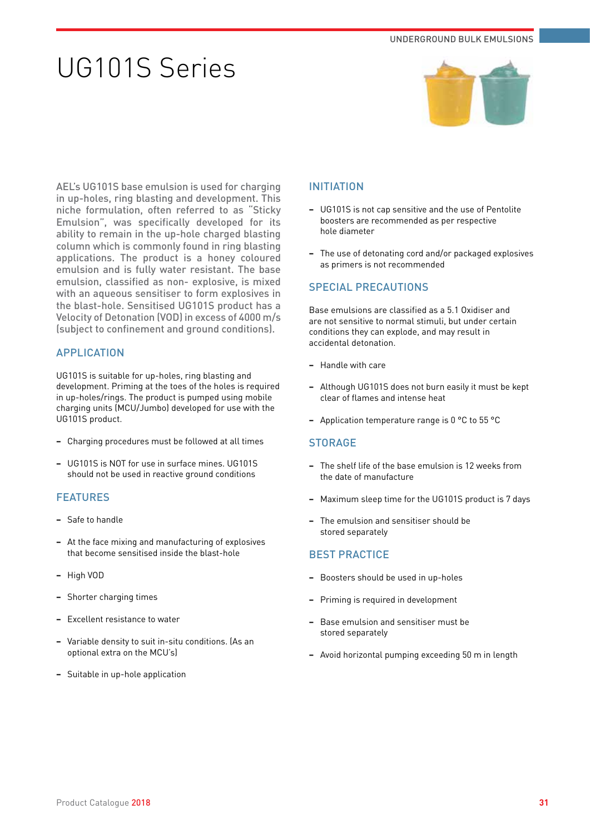# UG101S Series



AEL's UG101S base emulsion is used for charging in up-holes, ring blasting and development. This niche formulation, often referred to as "Sticky Emulsion", was specifically developed for its ability to remain in the up-hole charged blasting column which is commonly found in ring blasting applications. The product is a honey coloured emulsion and is fully water resistant. The base emulsion, classified as non- explosive, is mixed with an aqueous sensitiser to form explosives in the blast-hole. Sensitised UG101S product has a Velocity of Detonation (VOD) in excess of 4000 m/s (subject to confinement and ground conditions).

# APPLICATION

UG101S is suitable for up-holes, ring blasting and development. Priming at the toes of the holes is required in up-holes/rings. The product is pumped using mobile charging units (MCU/Jumbo) developed for use with the UG101S product.

- **−** Charging procedures must be followed at all times
- **−** UG101S is NOT for use in surface mines. UG101S should not be used in reactive ground conditions

# FEATURES

- **−** Safe to handle
- **−** At the face mixing and manufacturing of explosives that become sensitised inside the blast-hole
- **−** High VOD
- **−** Shorter charging times
- **−** Excellent resistance to water
- **−** Variable density to suit in-situ conditions. (As an optional extra on the MCU's)
- **−** Suitable in up-hole application

## INITIATION

- **−** UG101S is not cap sensitive and the use of Pentolite boosters are recommended as per respective hole diameter
- **−** The use of detonating cord and/or packaged explosives as primers is not recommended

# SPECIAL PRECAUTIONS

Base emulsions are classified as a 5.1 Oxidiser and are not sensitive to normal stimuli, but under certain conditions they can explode, and may result in accidental detonation.

- **−** Handle with care
- **−** Although UG101S does not burn easily it must be kept clear of flames and intense heat
- **−** Application temperature range is 0 °C to 55 °C

### **STORAGE**

- **−** The shelf life of the base emulsion is 12 weeks from the date of manufacture
- **−** Maximum sleep time for the UG101S product is 7 days
- **−** The emulsion and sensitiser should be stored separately

- **−** Boosters should be used in up-holes
- **−** Priming is required in development
- **−** Base emulsion and sensitiser must be stored separately
- **−** Avoid horizontal pumping exceeding 50 m in length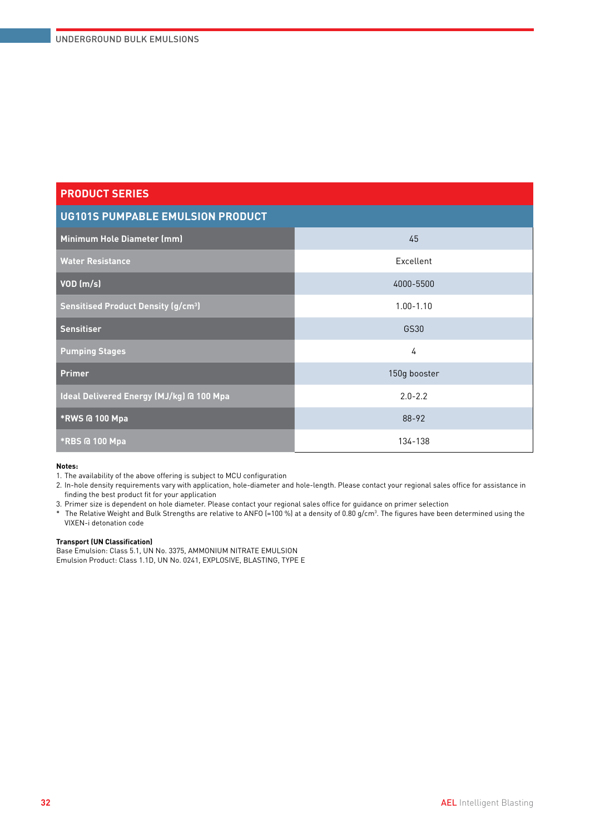| <b>PRODUCT SERIES</b>                                |               |  |  |  |
|------------------------------------------------------|---------------|--|--|--|
| <b>UG101S PUMPABLE EMULSION PRODUCT</b>              |               |  |  |  |
| Minimum Hole Diameter (mm)                           | 45            |  |  |  |
| <b>Water Resistance</b>                              | Excellent     |  |  |  |
| $VOD$ (m/s)                                          | 4000-5500     |  |  |  |
| <b>Sensitised Product Density (g/cm<sup>3</sup>)</b> | $1.00 - 1.10$ |  |  |  |
| <b>Sensitiser</b>                                    | GS30          |  |  |  |
| <b>Pumping Stages</b>                                | 4             |  |  |  |
| <b>Primer</b>                                        | 150g booster  |  |  |  |
| Ideal Delivered Energy (MJ/kg) @ 100 Mpa             | $2.0 - 2.2$   |  |  |  |
| *RWS @ 100 Mpa                                       | 88-92         |  |  |  |
| *RBS @ 100 Mpa                                       | 134-138       |  |  |  |

#### **Notes:**

1. The availability of the above offering is subject to MCU configuration

2. In-hole density requirements vary with application, hole-diameter and hole-length. Please contact your regional sales office for assistance in finding the best product fit for your application

3. Primer size is dependent on hole diameter. Please contact your regional sales office for guidance on primer selection

 $^*$  The Relative Weight and Bulk Strengths are relative to ANFO (=100 %) at a density of 0.80 g/cm $^3$ . The figures have been determined using the VIXEN-i detonation code

#### **Transport (UN Classification)**

Base Emulsion: Class 5.1, UN No. 3375, AMMONIUM NITRATE EMULSION Emulsion Product: Class 1.1D, UN No. 0241, EXPLOSIVE, BLASTING, TYPE E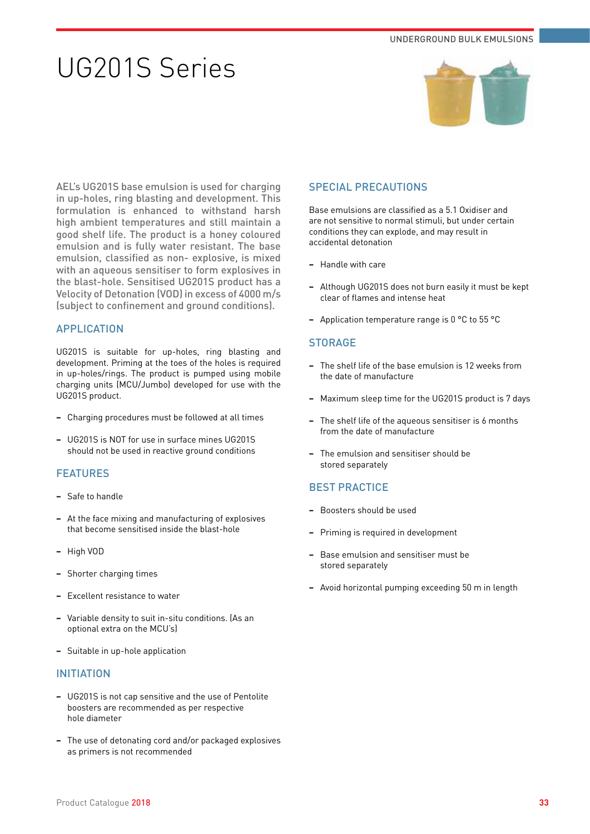# UG201S Series



AEL's UG201S base emulsion is used for charging in up-holes, ring blasting and development. This formulation is enhanced to withstand harsh high ambient temperatures and still maintain a good shelf life. The product is a honey coloured emulsion and is fully water resistant. The base emulsion, classified as non- explosive, is mixed with an aqueous sensitiser to form explosives in the blast-hole. Sensitised UG201S product has a Velocity of Detonation (VOD) in excess of 4000 m/s (subject to confinement and ground conditions).

# APPLICATION

UG201S is suitable for up-holes, ring blasting and development. Priming at the toes of the holes is required in up-holes/rings. The product is pumped using mobile charging units (MCU/Jumbo) developed for use with the UG201S product.

- **−** Charging procedures must be followed at all times
- **−** UG201S is NOT for use in surface mines UG201S should not be used in reactive ground conditions

### FEATURES

- **−** Safe to handle
- **−** At the face mixing and manufacturing of explosives that become sensitised inside the blast-hole
- **−** High VOD
- **−** Shorter charging times
- **−** Excellent resistance to water
- **−** Variable density to suit in-situ conditions. (As an optional extra on the MCU's)
- **−** Suitable in up-hole application

### INITIATION

- **−** UG201S is not cap sensitive and the use of Pentolite boosters are recommended as per respective hole diameter
- **−** The use of detonating cord and/or packaged explosives as primers is not recommended

## SPECIAL PRECAUTIONS

Base emulsions are classified as a 5.1 Oxidiser and are not sensitive to normal stimuli, but under certain conditions they can explode, and may result in accidental detonation

- **−** Handle with care
- **−** Although UG201S does not burn easily it must be kept clear of flames and intense heat
- **−** Application temperature range is 0 °C to 55 °C

### **STORAGE**

- **−** The shelf life of the base emulsion is 12 weeks from the date of manufacture
- **−** Maximum sleep time for the UG201S product is 7 days
- The shelf life of the aqueous sensitiser is 6 months from the date of manufacture
- **−** The emulsion and sensitiser should be stored separately

- **−** Boosters should be used
- **−** Priming is required in development
- **−** Base emulsion and sensitiser must be stored separately
- **−** Avoid horizontal pumping exceeding 50 m in length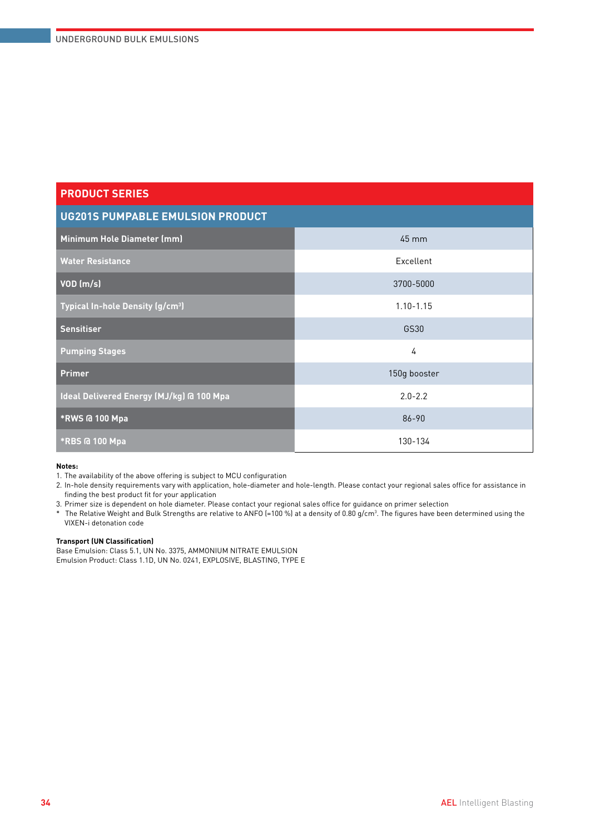| <b>UG201S PUMPABLE EMULSION PRODUCT</b>      |               |  |  |
|----------------------------------------------|---------------|--|--|
| Minimum Hole Diameter (mm)                   | 45 mm         |  |  |
| <b>Water Resistance</b>                      | Excellent     |  |  |
| VOD (m/s)                                    | 3700-5000     |  |  |
| Typical In-hole Density (g/cm <sup>3</sup> ) | $1.10 - 1.15$ |  |  |
| <b>Sensitiser</b>                            | GS30          |  |  |
| <b>Pumping Stages</b>                        | 4             |  |  |
| <b>Primer</b>                                | 150g booster  |  |  |
| Ideal Delivered Energy (MJ/kg) @ 100 Mpa     | $2.0 - 2.2$   |  |  |
| *RWS @ 100 Mpa                               | 86-90         |  |  |
| *RBS @ 100 Mpa                               | 130-134       |  |  |

#### **Notes:**

1. The availability of the above offering is subject to MCU configuration

2. In-hole density requirements vary with application, hole-diameter and hole-length. Please contact your regional sales office for assistance in finding the best product fit for your application

3. Primer size is dependent on hole diameter. Please contact your regional sales office for guidance on primer selection

 $^*$  The Relative Weight and Bulk Strengths are relative to ANFO (=100 %) at a density of 0.80 g/cm $^3$ . The figures have been determined using the VIXEN-i detonation code

#### **Transport (UN Classification)**

Base Emulsion: Class 5.1, UN No. 3375, AMMONIUM NITRATE EMULSION Emulsion Product: Class 1.1D, UN No. 0241, EXPLOSIVE, BLASTING, TYPE E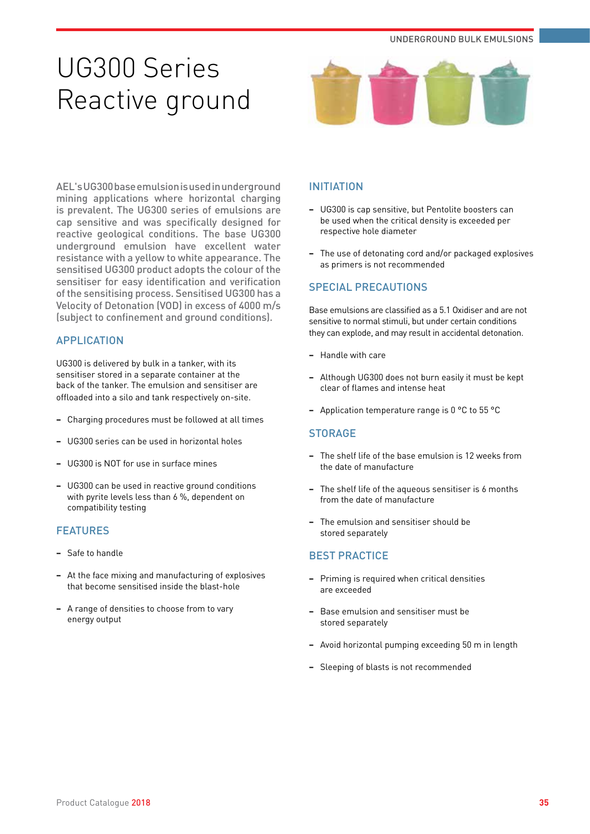# UG300 Series Reactive ground



AEL's UG300 base emulsion is used in underground mining applications where horizontal charging is prevalent. The UG300 series of emulsions are cap sensitive and was specifically designed for reactive geological conditions. The base UG300 underground emulsion have excellent water resistance with a yellow to white appearance. The sensitised UG300 product adopts the colour of the sensitiser for easy identification and verification of the sensitising process. Sensitised UG300 has a Velocity of Detonation (VOD) in excess of 4000 m/s (subject to confinement and ground conditions).

# APPLICATION

UG300 is delivered by bulk in a tanker, with its sensitiser stored in a separate container at the back of the tanker. The emulsion and sensitiser are offloaded into a silo and tank respectively on-site.

- **−** Charging procedures must be followed at all times
- **−** UG300 series can be used in horizontal holes
- **−** UG300 is NOT for use in surface mines
- **−** UG300 can be used in reactive ground conditions with pyrite levels less than 6 %, dependent on compatibility testing

# FEATURES

- **−** Safe to handle
- **−** At the face mixing and manufacturing of explosives that become sensitised inside the blast-hole
- **−** A range of densities to choose from to vary energy output

# INITIATION

- **−** UG300 is cap sensitive, but Pentolite boosters can be used when the critical density is exceeded per respective hole diameter
- **−** The use of detonating cord and/or packaged explosives as primers is not recommended

# SPECIAL PRECAUTIONS

Base emulsions are classified as a 5.1 Oxidiser and are not sensitive to normal stimuli, but under certain conditions they can explode, and may result in accidental detonation.

- **−** Handle with care
- **−** Although UG300 does not burn easily it must be kept clear of flames and intense heat
- **−** Application temperature range is 0 °C to 55 °C

#### **STORAGE**

- **−** The shelf life of the base emulsion is 12 weeks from the date of manufacture
- The shelf life of the aqueous sensitiser is 6 months from the date of manufacture
- **−** The emulsion and sensitiser should be stored separately

- **−** Priming is required when critical densities are exceeded
- **−** Base emulsion and sensitiser must be stored separately
- **−** Avoid horizontal pumping exceeding 50 m in length
- **−** Sleeping of blasts is not recommended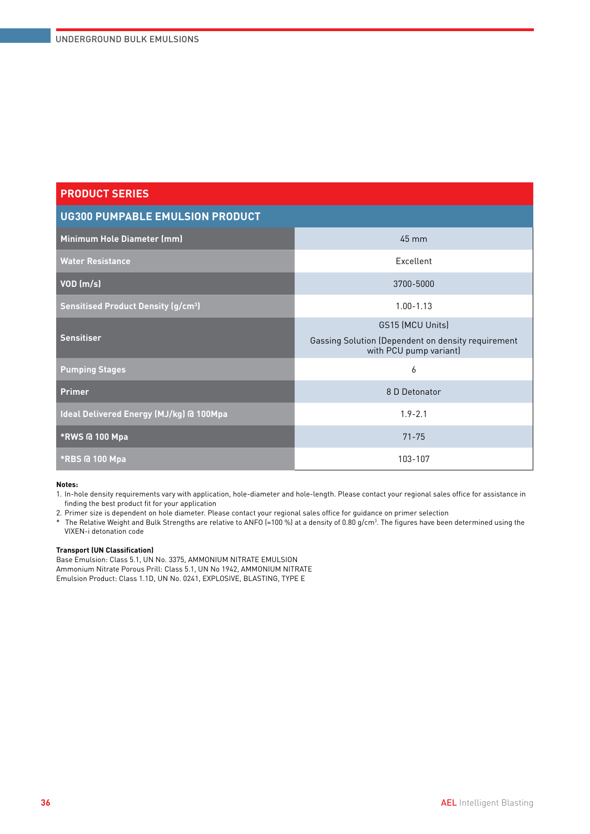| <b>UG300 PUMPABLE EMULSION PRODUCT</b>               |                                                                                                         |  |  |  |
|------------------------------------------------------|---------------------------------------------------------------------------------------------------------|--|--|--|
| Minimum Hole Diameter (mm)                           | 45 mm                                                                                                   |  |  |  |
| <b>Water Resistance</b>                              | Excellent                                                                                               |  |  |  |
| $VOD$ (m/s)                                          | 3700-5000                                                                                               |  |  |  |
| <b>Sensitised Product Density (g/cm<sup>3</sup>)</b> | $1.00 - 1.13$                                                                                           |  |  |  |
| <b>Sensitiser</b>                                    | <b>GS15 (MCU Units)</b><br>Gassing Solution (Dependent on density requirement<br>with PCU pump variant) |  |  |  |
| <b>Pumping Stages</b>                                | 6                                                                                                       |  |  |  |
| <b>Primer</b>                                        | 8 D Detonator                                                                                           |  |  |  |
| Ideal Delivered Energy (MJ/kg) @ 100Mpa              | $1.9 - 2.1$                                                                                             |  |  |  |
| *RWS @ 100 Mpa                                       | $71 - 75$                                                                                               |  |  |  |
| <b>*RBS @ 100 Mpa</b>                                | 103-107                                                                                                 |  |  |  |

#### **Notes:**

1. In-hole density requirements vary with application, hole-diameter and hole-length. Please contact your regional sales office for assistance in finding the best product fit for your application

2. Primer size is dependent on hole diameter. Please contact your regional sales office for guidance on primer selection

 $^*$  The Relative Weight and Bulk Strengths are relative to ANFO (=100 %) at a density of 0.80 g/cm $^3$ . The figures have been determined using the VIXEN-i detonation code

#### **Transport (UN Classification)**

Base Emulsion: Class 5.1, UN No. 3375, AMMONIUM NITRATE EMULSION Ammonium Nitrate Porous Prill: Class 5.1, UN No 1942, AMMONIUM NITRATE Emulsion Product: Class 1.1D, UN No. 0241, EXPLOSIVE, BLASTING, TYPE E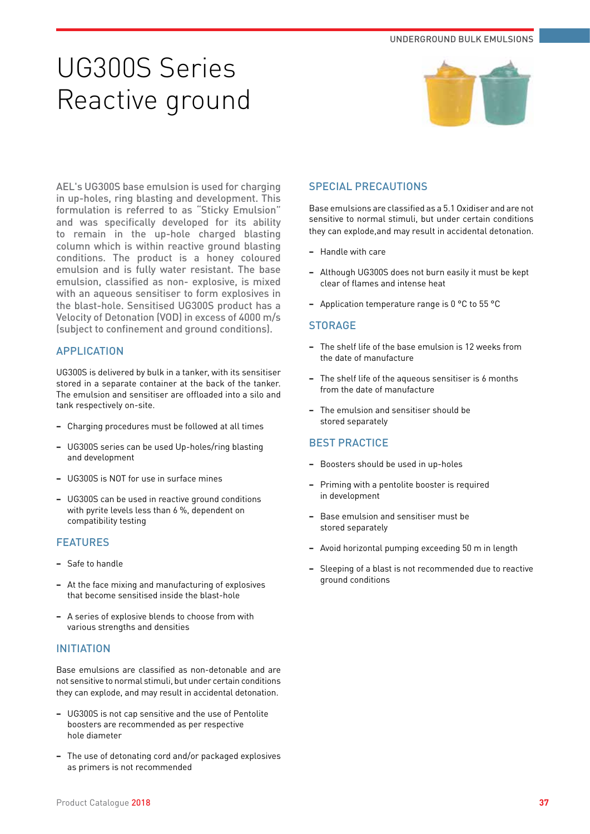# UG300S Series Reactive ground



AEL's UG300S base emulsion is used for charging in up-holes, ring blasting and development. This formulation is referred to as "Sticky Emulsion" and was specifically developed for its ability to remain in the up-hole charged blasting column which is within reactive ground blasting conditions. The product is a honey coloured emulsion and is fully water resistant. The base emulsion, classified as non- explosive, is mixed with an aqueous sensitiser to form explosives in the blast-hole. Sensitised UG300S product has a Velocity of Detonation (VOD) in excess of 4000 m/s (subject to confinement and ground conditions).

# APPLICATION

UG300S is delivered by bulk in a tanker, with its sensitiser stored in a separate container at the back of the tanker. The emulsion and sensitiser are offloaded into a silo and tank respectively on-site.

- **−** Charging procedures must be followed at all times
- **−** UG300S series can be used Up-holes/ring blasting and development
- **−** UG300S is NOT for use in surface mines
- **−** UG300S can be used in reactive ground conditions with pyrite levels less than 6 %, dependent on compatibility testing

### FEATURES

- **−** Safe to handle
- **−** At the face mixing and manufacturing of explosives that become sensitised inside the blast-hole
- **−** A series of explosive blends to choose from with various strengths and densities

#### INITIATION

Base emulsions are classified as non-detonable and are not sensitive to normal stimuli, but under certain conditions they can explode, and may result in accidental detonation.

- **−** UG300S is not cap sensitive and the use of Pentolite boosters are recommended as per respective hole diameter
- **−** The use of detonating cord and/or packaged explosives as primers is not recommended

## SPECIAL PRECAUTIONS

Base emulsions are classified as a 5.1 Oxidiser and are not sensitive to normal stimuli, but under certain conditions they can explode,and may result in accidental detonation.

- **−** Handle with care
- **−** Although UG300S does not burn easily it must be kept clear of flames and intense heat
- **−** Application temperature range is 0 °C to 55 °C

#### **STORAGE**

- **−** The shelf life of the base emulsion is 12 weeks from the date of manufacture
- **−** The shelf life of the aqueous sensitiser is 6 months from the date of manufacture
- **−** The emulsion and sensitiser should be stored separately

- **−** Boosters should be used in up-holes
- **−** Priming with a pentolite booster is required in development
- **−** Base emulsion and sensitiser must be stored separately
- **−** Avoid horizontal pumping exceeding 50 m in length
- **−** Sleeping of a blast is not recommended due to reactive ground conditions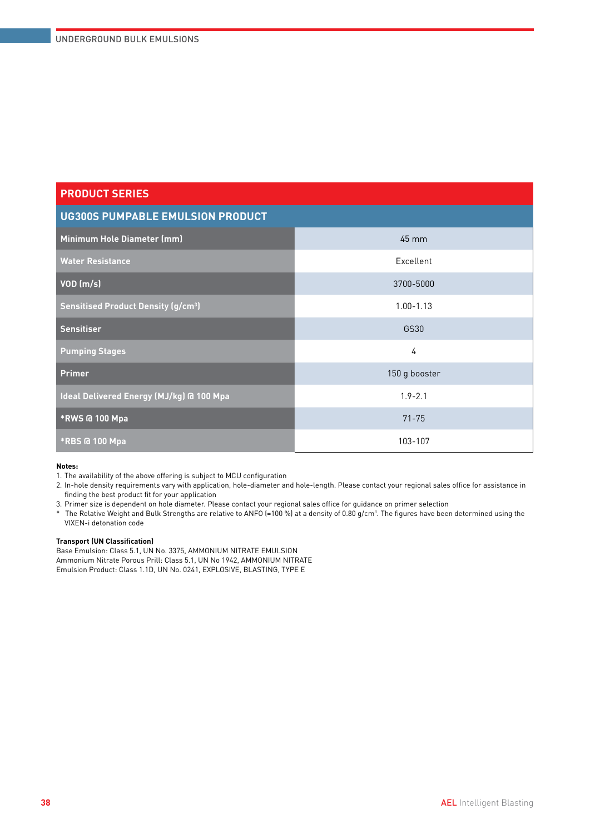| <b>UG300S PUMPABLE EMULSION PRODUCT</b>              |                 |  |  |
|------------------------------------------------------|-----------------|--|--|
| Minimum Hole Diameter (mm)                           | $45 \text{ mm}$ |  |  |
| <b>Water Resistance</b>                              | Excellent       |  |  |
| $VOD$ (m/s)                                          | 3700-5000       |  |  |
| <b>Sensitised Product Density (g/cm<sup>3</sup>)</b> | $1.00 - 1.13$   |  |  |
| <b>Sensitiser</b>                                    | GS30            |  |  |
| <b>Pumping Stages</b>                                | 4               |  |  |
| <b>Primer</b>                                        | 150 g booster   |  |  |
| Ideal Delivered Energy (MJ/kg) @ 100 Mpa             | $1.9 - 2.1$     |  |  |
| *RWS @ 100 Mpa                                       | $71 - 75$       |  |  |
| <b>*RBS @ 100 Mpa</b>                                | 103-107         |  |  |

#### **Notes:**

1. The availability of the above offering is subject to MCU configuration

2. In-hole density requirements vary with application, hole-diameter and hole-length. Please contact your regional sales office for assistance in finding the best product fit for your application

3. Primer size is dependent on hole diameter. Please contact your regional sales office for guidance on primer selection

 $^*$  The Relative Weight and Bulk Strengths are relative to ANFO (=100 %) at a density of 0.80 g/cm $^3$ . The figures have been determined using the VIXEN-i detonation code

#### **Transport (UN Classification)**

Base Emulsion: Class 5.1, UN No. 3375, AMMONIUM NITRATE EMULSION Ammonium Nitrate Porous Prill: Class 5.1, UN No 1942, AMMONIUM NITRATE Emulsion Product: Class 1.1D, UN No. 0241, EXPLOSIVE, BLASTING, TYPE E